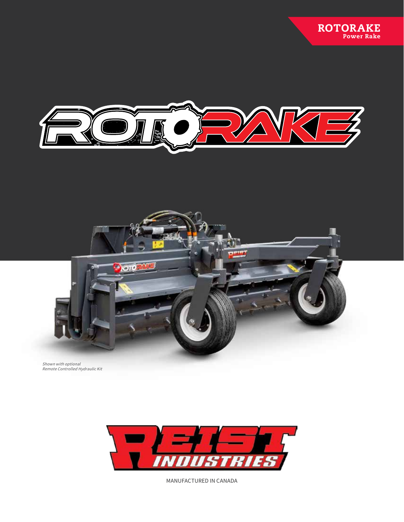



Shown with optional Remote Controlled Hydraulic Kit



MANUFACTURED IN CANADA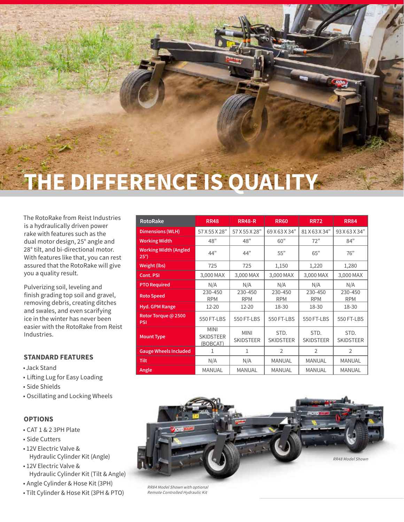

The RotoRake from Reist Industries is a hydraulically driven power rake with features such as the dual motor design, 25° angle and 28° tilt, and bi-directional motor. With features like that, you can rest assured that the RotoRake will give you a quality result.

Pulverizing soil, leveling and finish grading top soil and gravel, removing debris, creating ditches and swales, and even scarifying ice in the winter has never been easier with the RotoRake from Reist Industries.

## **STANDARD FEATURES**

- Jack Stand
- Lifting Lug for Easy Loading
- Side Shields
- Oscillating and Locking Wheels

### **OPTIONS**

- CAT 1 & 2 3PH Plate
- Side Cutters
- 12V Electric Valve & Hydraulic Cylinder Kit (Angle)
- 12V Electric Valve & Hydraulic Cylinder Kit (Tilt & Angle)
- Angle Cylinder & Hose Kit (3PH)
- Tilt Cylinder & Hose Kit (3PH & PTO)

| <b>RotoRake</b>                              | <b>RR48</b>                                 | <b>RR48-R</b>                   | <b>RR60</b>              | <b>RR72</b>              | <b>RR84</b>              |
|----------------------------------------------|---------------------------------------------|---------------------------------|--------------------------|--------------------------|--------------------------|
| <b>Dimensions (WLH)</b>                      | 57 X 55 X 28"                               | 57 X 55 X 28"                   | 69 X 63 X 34"            | 81 X 63 X 34"            | 93 X 63 X 34"            |
| <b>Working Width</b>                         | 48"                                         | 48"                             | 60"                      | 72"                      | 84"                      |
| <b>Working Width (Angled</b><br>$25^{\circ}$ | 44"                                         | 44"                             | 55"                      | 65"                      | 76"                      |
| <b>Weight (lbs)</b>                          | 725                                         | 725                             | 1,150                    | 1,220                    | 1,280                    |
| Cont. PSI                                    | 3,000 MAX                                   | 3,000 MAX                       | 3,000 MAX                | 3,000 MAX                | 3,000 MAX                |
| <b>PTO Required</b>                          | N/A                                         | N/A                             | N/A                      | N/A                      | N/A                      |
| <b>Roto Speed</b>                            | 230-450<br><b>RPM</b>                       | 230-450<br><b>RPM</b>           | 230-450<br><b>RPM</b>    | 230-450<br><b>RPM</b>    | 230-450<br><b>RPM</b>    |
| <b>Hyd. GPM Range</b>                        | 12-20                                       | 12-20                           | 18-30                    | 18-30                    | 18-30                    |
| Rotor Torque @ 2500<br><b>PSI</b>            | 550 FT-LBS                                  | 550 FT-LBS                      | 550 FT-LBS               | 550 FT-LBS               | 550 FT-LBS               |
| <b>Mount Type</b>                            | <b>MINI</b><br><b>SKIDSTEER</b><br>(BOBCAT) | <b>MINI</b><br><b>SKIDSTEER</b> | STD.<br><b>SKIDSTEER</b> | STD.<br><b>SKIDSTEER</b> | STD.<br><b>SKIDSTEER</b> |
| <b>Gauge Wheels Included</b>                 | 1                                           | 1                               | $\overline{2}$           | $\overline{2}$           | $\overline{2}$           |
| <b>Tilt</b>                                  | N/A                                         | N/A                             | <b>MANUAL</b>            | <b>MANUAL</b>            | <b>MANUAL</b>            |
| Angle                                        | <b>MANUAL</b>                               | <b>MANUAL</b>                   | <b>MANUAL</b>            | <b>MANUAL</b>            | <b>MANUAL</b>            |



RR84 Model Shown with optional Remote Controlled Hydraulic Kit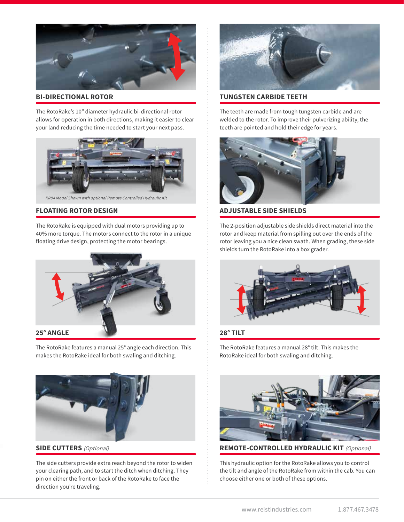

### **BI-DIRECTIONAL ROTOR**

The RotoRake's 10" diameter hydraulic bi-directional rotor allows for operation in both directions, making it easier to clear your land reducing the time needed to start your next pass.



RR84 Model Shown with optional Remote Controlled Hydraulic Kit

## **FLOATING ROTOR DESIGN**

The RotoRake is equipped with dual motors providing up to 40% more torque. The motors connect to the rotor in a unique floating drive design, protecting the motor bearings.



The RotoRake features a manual 25° angle each direction. This makes the RotoRake ideal for both swaling and ditching.



**SIDE CUTTERS** (Optional)

The side cutters provide extra reach beyond the rotor to widen your clearing path, and to start the ditch when ditching. They pin on either the front or back of the RotoRake to face the direction you're traveling.



#### **TUNGSTEN CARBIDE TEETH**

The teeth are made from tough tungsten carbide and are welded to the rotor. To improve their pulverizing ability, the teeth are pointed and hold their edge for years.



**ADJUSTABLE SIDE SHIELDS**

The 2-position adjustable side shields direct material into the rotor and keep material from spilling out over the ends of the rotor leaving you a nice clean swath. When grading, these side shields turn the RotoRake into a box grader.



### **28° TILT**

The RotoRake features a manual 28° tilt. This makes the RotoRake ideal for both swaling and ditching.



**REMOTE-CONTROLLED HYDRAULIC KIT** (Optional)

This hydraulic option for the RotoRake allows you to control the tilt and angle of the RotoRake from within the cab. You can choose either one or both of these options.